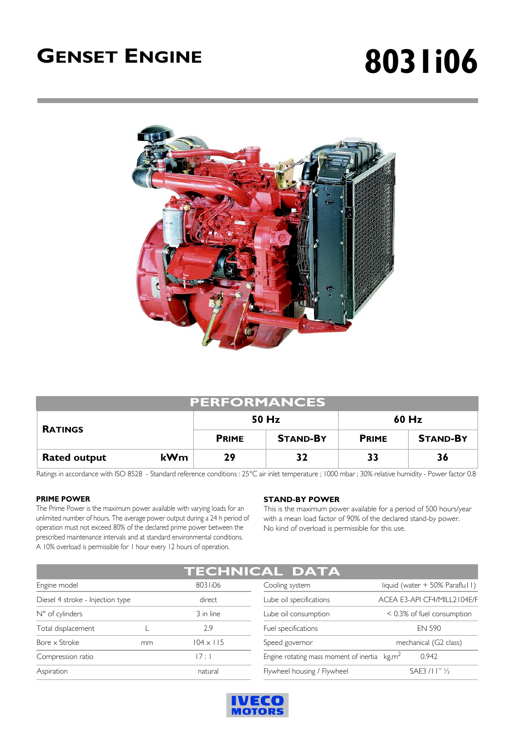## **GENSET ENGINE**

# **8031i06**



## **ERFORMANCES**

| <b>RATINGS</b>      |            | 50 Hz        |                 | 60 Hz        |                 |
|---------------------|------------|--------------|-----------------|--------------|-----------------|
|                     |            | <b>PRIME</b> | <b>STAND-BY</b> | <b>PRIME</b> | <b>STAND-BY</b> |
| <b>Rated output</b> | <b>kWm</b> | 29           | 32              | 33           | 36              |

Ratings in accordance with ISO 8528 - Standard reference conditions : 25°C air inlet temperature ; 1000 mbar ; 30% relative humidity - Power factor 0.8

## **PRIME POWER**

The Prime Power is the maximum power available with varying loads for an unlimited number of hours. The average power output during a 24 h period of operation must not exceed 80% of the declared prime power between the prescribed maintenance intervals and at standard environmental conditions. A 10% overload is permissible for 1 hour every 12 hours of operation.

### **STAND-BY POWER**

This is the maximum power available for a period of 500 hours/year with a mean load factor of 90% of the declared stand-by power. No kind of overload is permissible for this use.

|                                  |    |                  | <b>TECHNICAL DATA</b>                           |                                   |
|----------------------------------|----|------------------|-------------------------------------------------|-----------------------------------|
| Engine model                     |    | 8031i06          | Cooling system                                  | liquid (water $+50\%$ Paraflul I) |
| Diesel 4 stroke - Injection type |    | direct           | Lube oil specifications                         | ACEA E3-API CF4/MILL2104E/F       |
| N° of cylinders                  |    | 3 in line        | Lube oil consumption                            | < 0.3% of fuel consumption        |
| Total displacement               |    | 2.9              | Fuel specifications                             | <b>EN 590</b>                     |
| Bore x Stroke                    | mm | $104 \times 115$ | Speed governor                                  | mechanical (G2 class)             |
| Compression ratio                |    | 17:1             | Engine rotating mass moment of inertia $kg.m^2$ | 0.942                             |
| Aspiration                       |    | natural          | Flywheel housing / Flywheel                     | SAE3 / I I" 1/2                   |